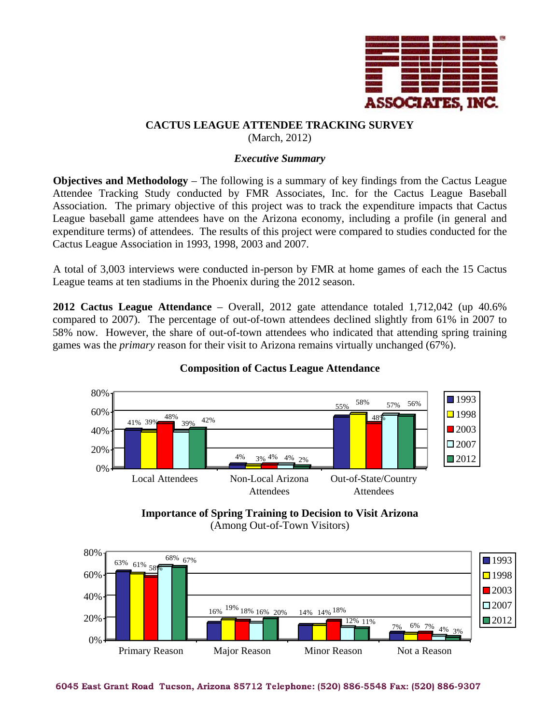

# **CACTUS LEAGUE ATTENDEE TRACKING SURVEY**

(March, 2012)

# *Executive Summary*

**Objectives and Methodology** – The following is a summary of key findings from the Cactus League Attendee Tracking Study conducted by FMR Associates, Inc. for the Cactus League Baseball Association. The primary objective of this project was to track the expenditure impacts that Cactus League baseball game attendees have on the Arizona economy, including a profile (in general and expenditure terms) of attendees. The results of this project were compared to studies conducted for the Cactus League Association in 1993, 1998, 2003 and 2007.

A total of 3,003 interviews were conducted in-person by FMR at home games of each the 15 Cactus League teams at ten stadiums in the Phoenix during the 2012 season.

**2012 Cactus League Attendance** – Overall, 2012 gate attendance totaled 1,712,042 (up 40.6% compared to 2007). The percentage of out-of-town attendees declined slightly from 61% in 2007 to 58% now. However, the share of out-of-town attendees who indicated that attending spring training games was the *primary* reason for their visit to Arizona remains virtually unchanged (67%).



### **Composition of Cactus League Attendance**